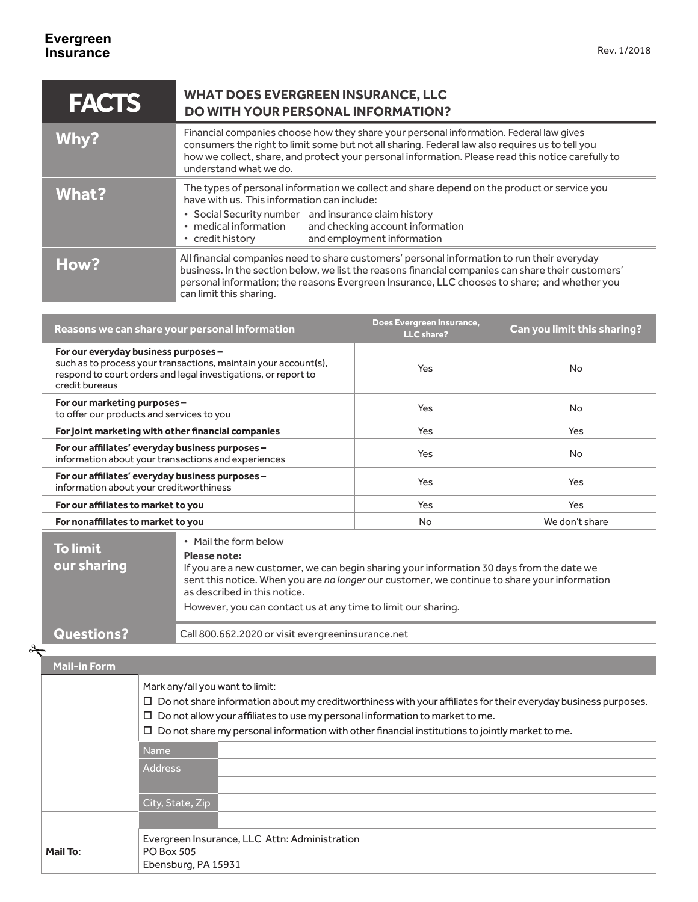u.

| <b>FACTS</b> | <b>WHAT DOES EVERGREEN INSURANCE, LLC</b><br>DO WITH YOUR PERSONAL INFORMATION?                                                                                                                                                                                                                                              |
|--------------|------------------------------------------------------------------------------------------------------------------------------------------------------------------------------------------------------------------------------------------------------------------------------------------------------------------------------|
| Why?         | Financial companies choose how they share your personal information. Federal law gives<br>consumers the right to limit some but not all sharing. Federal law also requires us to tell you<br>how we collect, share, and protect your personal information. Please read this notice carefully to<br>understand what we do.    |
| <b>What?</b> | The types of personal information we collect and share depend on the product or service you<br>have with us. This information can include:                                                                                                                                                                                   |
|              | • Social Security number and insurance claim history<br>• medical information<br>and checking account information<br>and employment information<br>• credit history                                                                                                                                                          |
| How?         | All financial companies need to share customers' personal information to run their everyday<br>business. In the section below, we list the reasons financial companies can share their customers'<br>personal information; the reasons Evergreen Insurance, LLC chooses to share; and whether you<br>can limit this sharing. |

| Reasons we can share your personal information                                                                                                                                              | Does Evergreen Insurance,<br>LLC share? | Can you limit this sharing? |
|---------------------------------------------------------------------------------------------------------------------------------------------------------------------------------------------|-----------------------------------------|-----------------------------|
| For our everyday business purposes -<br>such as to process your transactions, maintain your account(s),<br>respond to court orders and legal investigations, or report to<br>credit bureaus | Yes                                     | No.                         |
| For our marketing purposes -<br>to offer our products and services to you                                                                                                                   | Yes                                     | No.                         |
| For joint marketing with other financial companies                                                                                                                                          | Yes                                     | Yes                         |
| For our affiliates' everyday business purposes -<br>information about your transactions and experiences                                                                                     | Yes                                     | No.                         |
| For our affiliates' everyday business purposes -<br>information about your creditworthiness                                                                                                 | Yes                                     | Yes                         |
| For our affiliates to market to you                                                                                                                                                         | Yes                                     | Yes                         |
| For nonaffiliates to market to you                                                                                                                                                          | <b>No</b>                               | We don't share              |
| • Mail the form below<br><u> Electro de la c</u>                                                                                                                                            |                                         |                             |

| To limit<br>our sharing | • Mail the form below<br>Please note:<br>If you are a new customer, we can begin sharing your information 30 days from the date we<br>sent this notice. When you are no longer our customer, we continue to share your information<br>as described in this notice.<br>However, you can contact us at any time to limit our sharing. |
|-------------------------|-------------------------------------------------------------------------------------------------------------------------------------------------------------------------------------------------------------------------------------------------------------------------------------------------------------------------------------|
| <b>Questions?</b>       | Call 800.662.2020 or visit evergreeninsurance.net                                                                                                                                                                                                                                                                                   |

## **Mail-in Form**

2

|          | Mark any/all you want to limit:<br>$\Box$ Do not share information about my creditworthiness with your affiliates for their everyday business purposes.<br>$\square$ Do not allow your affiliates to use my personal information to market to me.<br>$\square$ Do not share my personal information with other financial institutions to jointly market to me. |  |
|----------|----------------------------------------------------------------------------------------------------------------------------------------------------------------------------------------------------------------------------------------------------------------------------------------------------------------------------------------------------------------|--|
|          | <b>Name</b><br><b>Address</b>                                                                                                                                                                                                                                                                                                                                  |  |
|          | City, State, Zip                                                                                                                                                                                                                                                                                                                                               |  |
|          |                                                                                                                                                                                                                                                                                                                                                                |  |
| Mail To: | Evergreen Insurance, LLC Attn: Administration<br><b>PO Box 505</b><br>Ebensburg, PA 15931                                                                                                                                                                                                                                                                      |  |